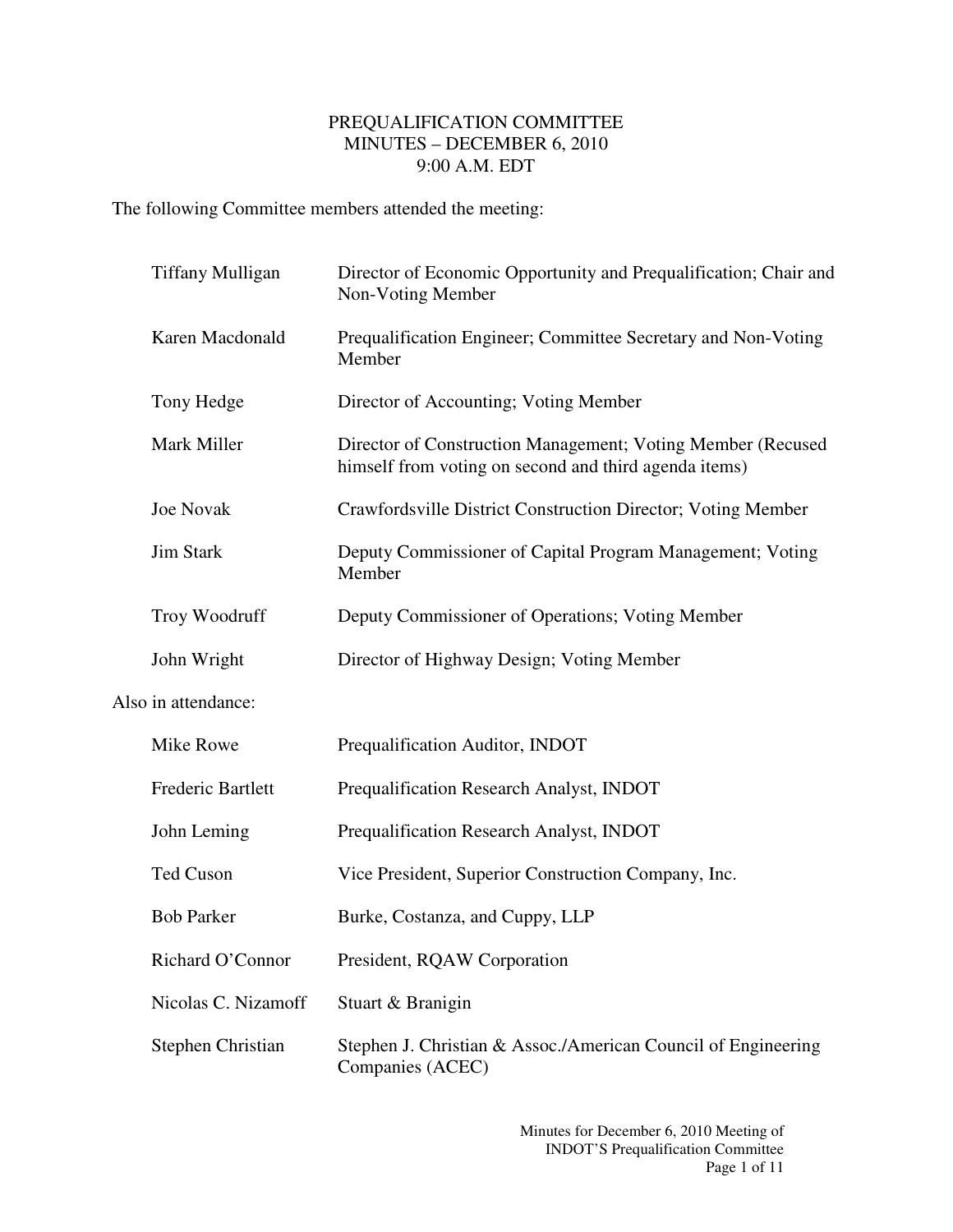## PREQUALIFICATION COMMITTEE MINUTES – DECEMBER 6, 2010 9:00 A.M. EDT

The following Committee members attended the meeting:

|                          | <b>Tiffany Mulligan</b> | Director of Economic Opportunity and Prequalification; Chair and<br>Non-Voting Member                                |
|--------------------------|-------------------------|----------------------------------------------------------------------------------------------------------------------|
|                          | Karen Macdonald         | Prequalification Engineer; Committee Secretary and Non-Voting<br>Member                                              |
| Tony Hedge               |                         | Director of Accounting; Voting Member                                                                                |
| Mark Miller              |                         | Director of Construction Management; Voting Member (Recused<br>himself from voting on second and third agenda items) |
| Joe Novak                |                         | Crawfordsville District Construction Director; Voting Member                                                         |
| <b>Jim Stark</b>         |                         | Deputy Commissioner of Capital Program Management; Voting<br>Member                                                  |
| Troy Woodruff            |                         | Deputy Commissioner of Operations; Voting Member                                                                     |
| John Wright              |                         | Director of Highway Design; Voting Member                                                                            |
| Also in attendance:      |                         |                                                                                                                      |
| Mike Rowe                |                         | Prequalification Auditor, INDOT                                                                                      |
|                          | Frederic Bartlett       | Prequalification Research Analyst, INDOT                                                                             |
| John Leming              |                         | Prequalification Research Analyst, INDOT                                                                             |
| Ted Cuson                |                         | Vice President, Superior Construction Company, Inc.                                                                  |
| <b>Bob Parker</b>        |                         | Burke, Costanza, and Cuppy, LLP                                                                                      |
|                          | Richard O'Connor        | President, RQAW Corporation                                                                                          |
| Nicolas C. Nizamoff      |                         | Stuart & Branigin                                                                                                    |
| <b>Stephen Christian</b> |                         | Stephen J. Christian & Assoc./American Council of Engineering<br>Companies (ACEC)                                    |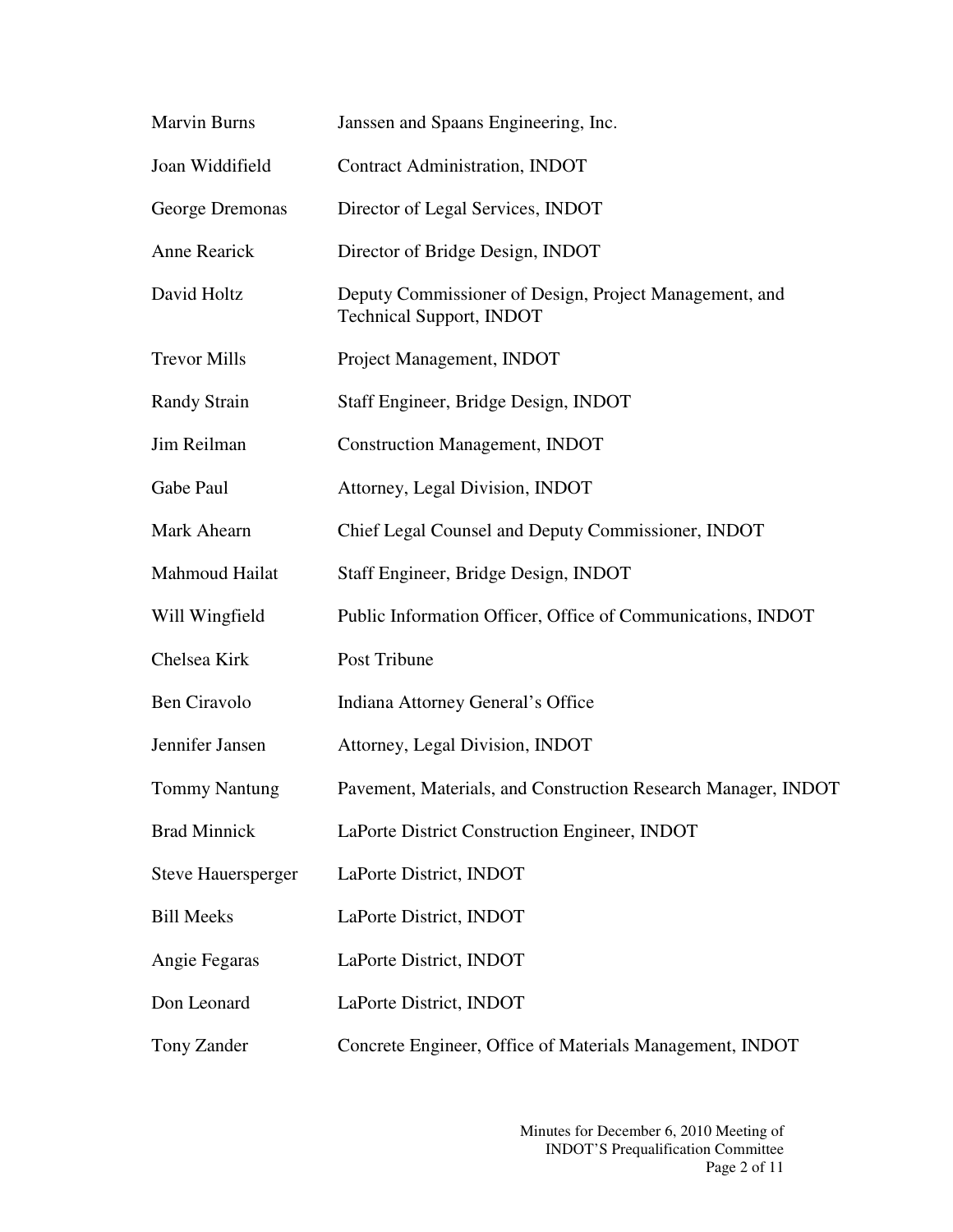| <b>Marvin Burns</b>       | Janssen and Spaans Engineering, Inc.                                                      |
|---------------------------|-------------------------------------------------------------------------------------------|
| Joan Widdifield           | <b>Contract Administration, INDOT</b>                                                     |
| George Dremonas           | Director of Legal Services, INDOT                                                         |
| Anne Rearick              | Director of Bridge Design, INDOT                                                          |
| David Holtz               | Deputy Commissioner of Design, Project Management, and<br><b>Technical Support, INDOT</b> |
| <b>Trevor Mills</b>       | Project Management, INDOT                                                                 |
| <b>Randy Strain</b>       | Staff Engineer, Bridge Design, INDOT                                                      |
| Jim Reilman               | <b>Construction Management, INDOT</b>                                                     |
| Gabe Paul                 | Attorney, Legal Division, INDOT                                                           |
| Mark Ahearn               | Chief Legal Counsel and Deputy Commissioner, INDOT                                        |
| Mahmoud Hailat            | Staff Engineer, Bridge Design, INDOT                                                      |
| Will Wingfield            | Public Information Officer, Office of Communications, INDOT                               |
| Chelsea Kirk              | Post Tribune                                                                              |
| <b>Ben Ciravolo</b>       | Indiana Attorney General's Office                                                         |
| Jennifer Jansen           | Attorney, Legal Division, INDOT                                                           |
| <b>Tommy Nantung</b>      | Pavement, Materials, and Construction Research Manager, INDOT                             |
| <b>Brad Minnick</b>       | LaPorte District Construction Engineer, INDOT                                             |
| <b>Steve Hauersperger</b> | LaPorte District, INDOT                                                                   |
| <b>Bill Meeks</b>         | LaPorte District, INDOT                                                                   |
| Angie Fegaras             | LaPorte District, INDOT                                                                   |
| Don Leonard               | LaPorte District, INDOT                                                                   |
| Tony Zander               | Concrete Engineer, Office of Materials Management, INDOT                                  |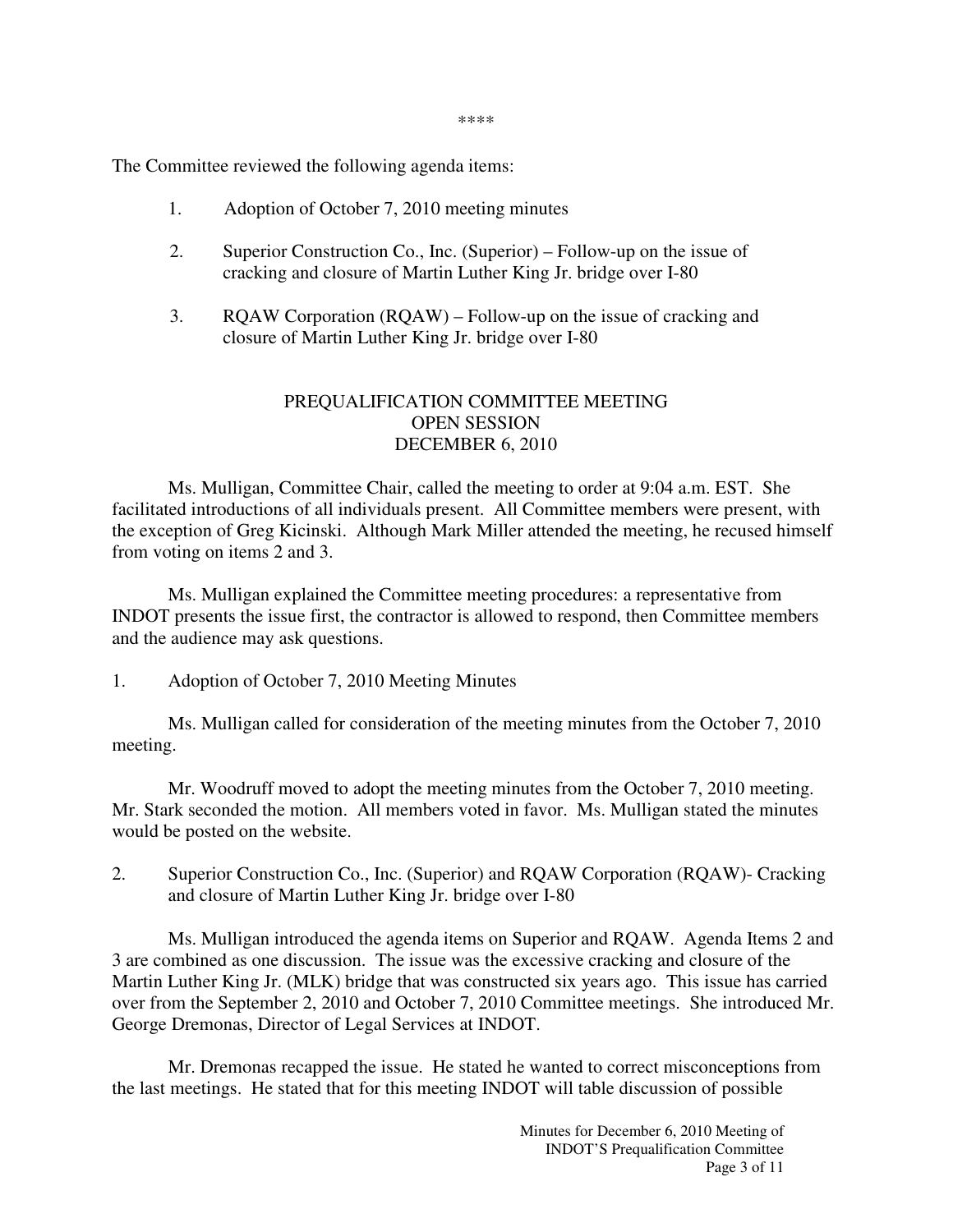\*\*\*\*

The Committee reviewed the following agenda items:

- 1. Adoption of October 7, 2010 meeting minutes
- 2. Superior Construction Co., Inc. (Superior) Follow-up on the issue of cracking and closure of Martin Luther King Jr. bridge over I-80
- 3. RQAW Corporation (RQAW) Follow-up on the issue of cracking and closure of Martin Luther King Jr. bridge over I-80

## PREQUALIFICATION COMMITTEE MEETING OPEN SESSION DECEMBER 6, 2010

 Ms. Mulligan, Committee Chair, called the meeting to order at 9:04 a.m. EST. She facilitated introductions of all individuals present. All Committee members were present, with the exception of Greg Kicinski. Although Mark Miller attended the meeting, he recused himself from voting on items 2 and 3.

 Ms. Mulligan explained the Committee meeting procedures: a representative from INDOT presents the issue first, the contractor is allowed to respond, then Committee members and the audience may ask questions.

1. Adoption of October 7, 2010 Meeting Minutes

 Ms. Mulligan called for consideration of the meeting minutes from the October 7, 2010 meeting.

 Mr. Woodruff moved to adopt the meeting minutes from the October 7, 2010 meeting. Mr. Stark seconded the motion. All members voted in favor. Ms. Mulligan stated the minutes would be posted on the website.

2. Superior Construction Co., Inc. (Superior) and RQAW Corporation (RQAW)- Cracking and closure of Martin Luther King Jr. bridge over I-80

Ms. Mulligan introduced the agenda items on Superior and RQAW. Agenda Items 2 and 3 are combined as one discussion. The issue was the excessive cracking and closure of the Martin Luther King Jr. (MLK) bridge that was constructed six years ago. This issue has carried over from the September 2, 2010 and October 7, 2010 Committee meetings. She introduced Mr. George Dremonas, Director of Legal Services at INDOT.

Mr. Dremonas recapped the issue. He stated he wanted to correct misconceptions from the last meetings. He stated that for this meeting INDOT will table discussion of possible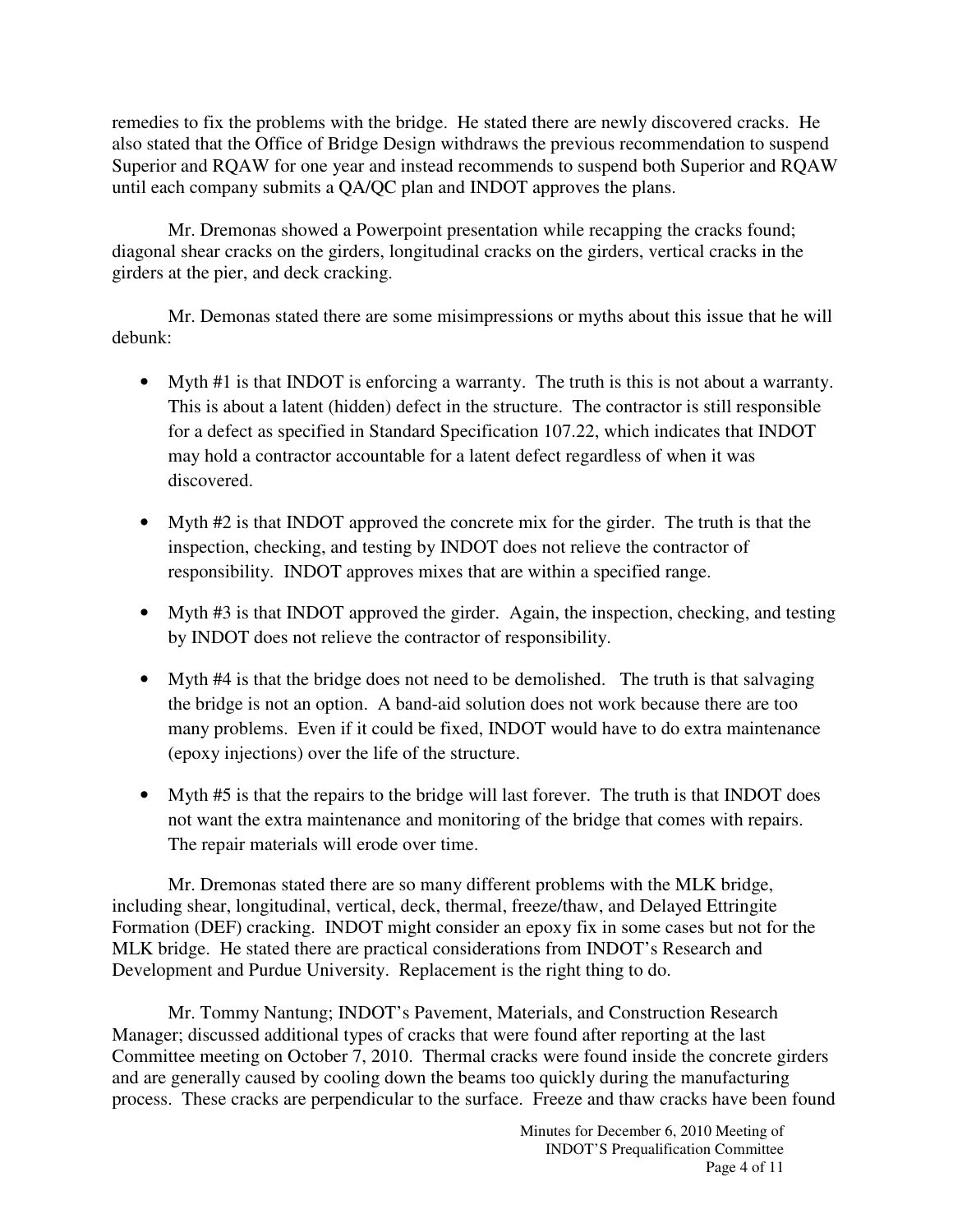remedies to fix the problems with the bridge. He stated there are newly discovered cracks. He also stated that the Office of Bridge Design withdraws the previous recommendation to suspend Superior and RQAW for one year and instead recommends to suspend both Superior and RQAW until each company submits a QA/QC plan and INDOT approves the plans.

Mr. Dremonas showed a Powerpoint presentation while recapping the cracks found; diagonal shear cracks on the girders, longitudinal cracks on the girders, vertical cracks in the girders at the pier, and deck cracking.

Mr. Demonas stated there are some misimpressions or myths about this issue that he will debunk:

- Myth #1 is that INDOT is enforcing a warranty. The truth is this is not about a warranty. This is about a latent (hidden) defect in the structure. The contractor is still responsible for a defect as specified in Standard Specification 107.22, which indicates that INDOT may hold a contractor accountable for a latent defect regardless of when it was discovered.
- Myth #2 is that INDOT approved the concrete mix for the girder. The truth is that the inspection, checking, and testing by INDOT does not relieve the contractor of responsibility. INDOT approves mixes that are within a specified range.
- Myth #3 is that INDOT approved the girder. Again, the inspection, checking, and testing by INDOT does not relieve the contractor of responsibility.
- Myth #4 is that the bridge does not need to be demolished. The truth is that salvaging the bridge is not an option. A band-aid solution does not work because there are too many problems. Even if it could be fixed, INDOT would have to do extra maintenance (epoxy injections) over the life of the structure.
- Myth #5 is that the repairs to the bridge will last forever. The truth is that INDOT does not want the extra maintenance and monitoring of the bridge that comes with repairs. The repair materials will erode over time.

Mr. Dremonas stated there are so many different problems with the MLK bridge, including shear, longitudinal, vertical, deck, thermal, freeze/thaw, and Delayed Ettringite Formation (DEF) cracking. INDOT might consider an epoxy fix in some cases but not for the MLK bridge. He stated there are practical considerations from INDOT's Research and Development and Purdue University. Replacement is the right thing to do.

Mr. Tommy Nantung; INDOT's Pavement, Materials, and Construction Research Manager; discussed additional types of cracks that were found after reporting at the last Committee meeting on October 7, 2010. Thermal cracks were found inside the concrete girders and are generally caused by cooling down the beams too quickly during the manufacturing process. These cracks are perpendicular to the surface. Freeze and thaw cracks have been found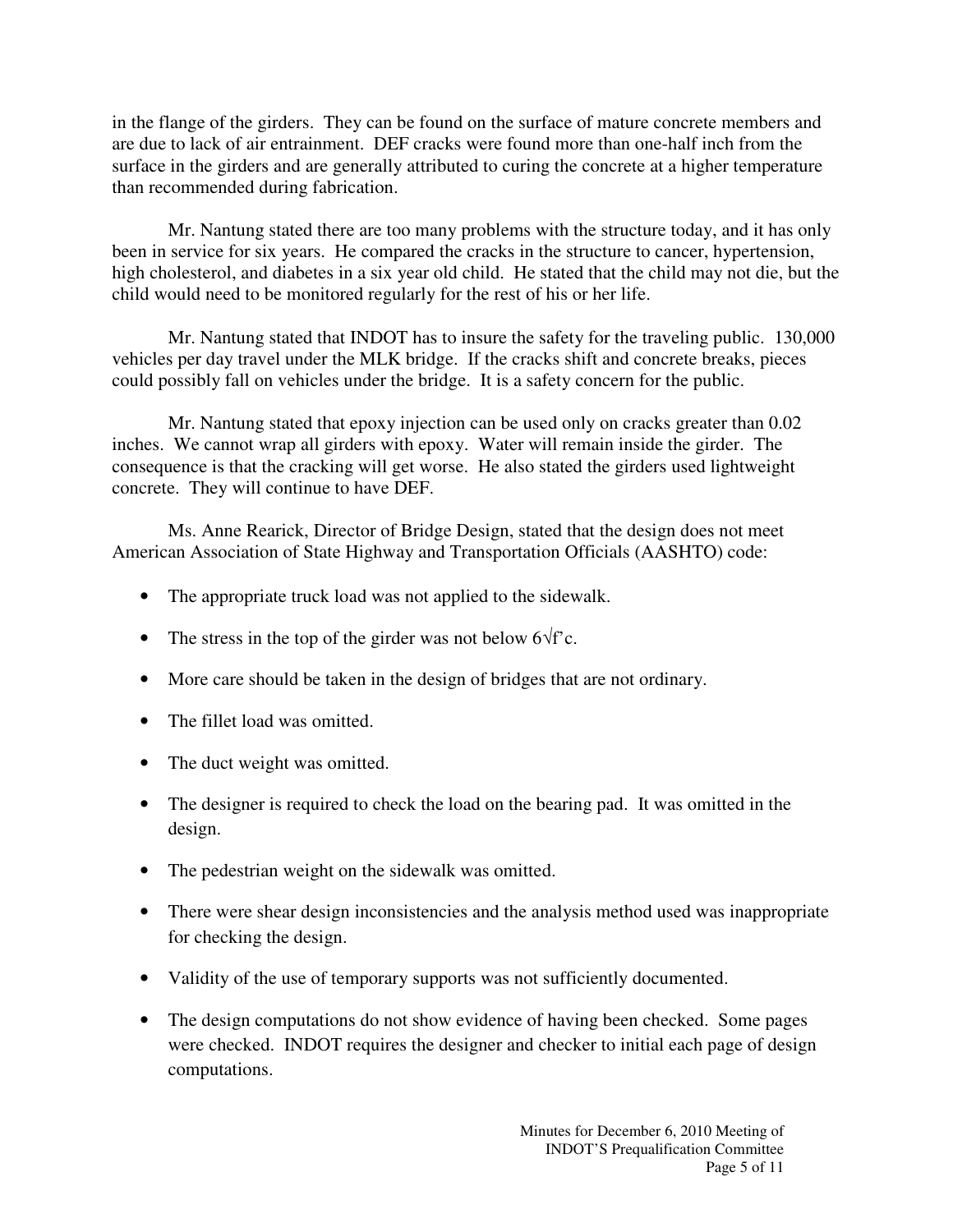in the flange of the girders. They can be found on the surface of mature concrete members and are due to lack of air entrainment. DEF cracks were found more than one-half inch from the surface in the girders and are generally attributed to curing the concrete at a higher temperature than recommended during fabrication.

Mr. Nantung stated there are too many problems with the structure today, and it has only been in service for six years. He compared the cracks in the structure to cancer, hypertension, high cholesterol, and diabetes in a six year old child. He stated that the child may not die, but the child would need to be monitored regularly for the rest of his or her life.

Mr. Nantung stated that INDOT has to insure the safety for the traveling public. 130,000 vehicles per day travel under the MLK bridge. If the cracks shift and concrete breaks, pieces could possibly fall on vehicles under the bridge. It is a safety concern for the public.

Mr. Nantung stated that epoxy injection can be used only on cracks greater than 0.02 inches. We cannot wrap all girders with epoxy. Water will remain inside the girder. The consequence is that the cracking will get worse. He also stated the girders used lightweight concrete. They will continue to have DEF.

 Ms. Anne Rearick, Director of Bridge Design, stated that the design does not meet American Association of State Highway and Transportation Officials (AASHTO) code:

- The appropriate truck load was not applied to the sidewalk.
- The stress in the top of the girder was not below  $6\sqrt{f'}c$ .
- More care should be taken in the design of bridges that are not ordinary.
- The fillet load was omitted.
- The duct weight was omitted.
- The designer is required to check the load on the bearing pad. It was omitted in the design.
- The pedestrian weight on the sidewalk was omitted.
- There were shear design inconsistencies and the analysis method used was inappropriate for checking the design.
- Validity of the use of temporary supports was not sufficiently documented.
- The design computations do not show evidence of having been checked. Some pages were checked. INDOT requires the designer and checker to initial each page of design computations.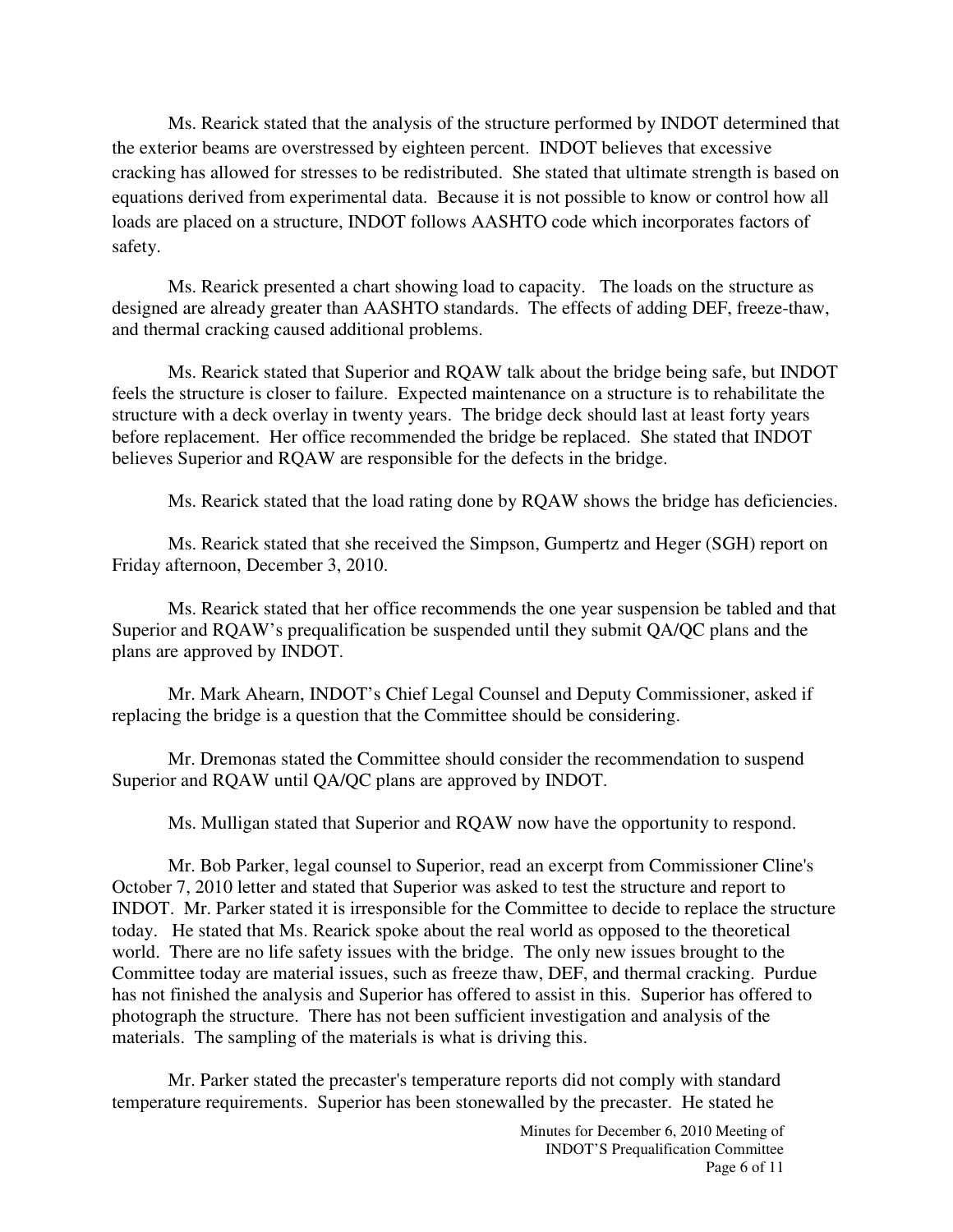Ms. Rearick stated that the analysis of the structure performed by INDOT determined that the exterior beams are overstressed by eighteen percent. INDOT believes that excessive cracking has allowed for stresses to be redistributed. She stated that ultimate strength is based on equations derived from experimental data. Because it is not possible to know or control how all loads are placed on a structure, INDOT follows AASHTO code which incorporates factors of safety.

 Ms. Rearick presented a chart showing load to capacity. The loads on the structure as designed are already greater than AASHTO standards. The effects of adding DEF, freeze-thaw, and thermal cracking caused additional problems.

Ms. Rearick stated that Superior and RQAW talk about the bridge being safe, but INDOT feels the structure is closer to failure. Expected maintenance on a structure is to rehabilitate the structure with a deck overlay in twenty years. The bridge deck should last at least forty years before replacement. Her office recommended the bridge be replaced. She stated that INDOT believes Superior and RQAW are responsible for the defects in the bridge.

Ms. Rearick stated that the load rating done by RQAW shows the bridge has deficiencies.

 Ms. Rearick stated that she received the Simpson, Gumpertz and Heger (SGH) report on Friday afternoon, December 3, 2010.

 Ms. Rearick stated that her office recommends the one year suspension be tabled and that Superior and RQAW's prequalification be suspended until they submit QA/QC plans and the plans are approved by INDOT.

 Mr. Mark Ahearn, INDOT's Chief Legal Counsel and Deputy Commissioner, asked if replacing the bridge is a question that the Committee should be considering.

Mr. Dremonas stated the Committee should consider the recommendation to suspend Superior and RQAW until QA/QC plans are approved by INDOT.

Ms. Mulligan stated that Superior and RQAW now have the opportunity to respond.

Mr. Bob Parker, legal counsel to Superior, read an excerpt from Commissioner Cline's October 7, 2010 letter and stated that Superior was asked to test the structure and report to INDOT. Mr. Parker stated it is irresponsible for the Committee to decide to replace the structure today. He stated that Ms. Rearick spoke about the real world as opposed to the theoretical world. There are no life safety issues with the bridge. The only new issues brought to the Committee today are material issues, such as freeze thaw, DEF, and thermal cracking. Purdue has not finished the analysis and Superior has offered to assist in this. Superior has offered to photograph the structure. There has not been sufficient investigation and analysis of the materials. The sampling of the materials is what is driving this.

Mr. Parker stated the precaster's temperature reports did not comply with standard temperature requirements. Superior has been stonewalled by the precaster. He stated he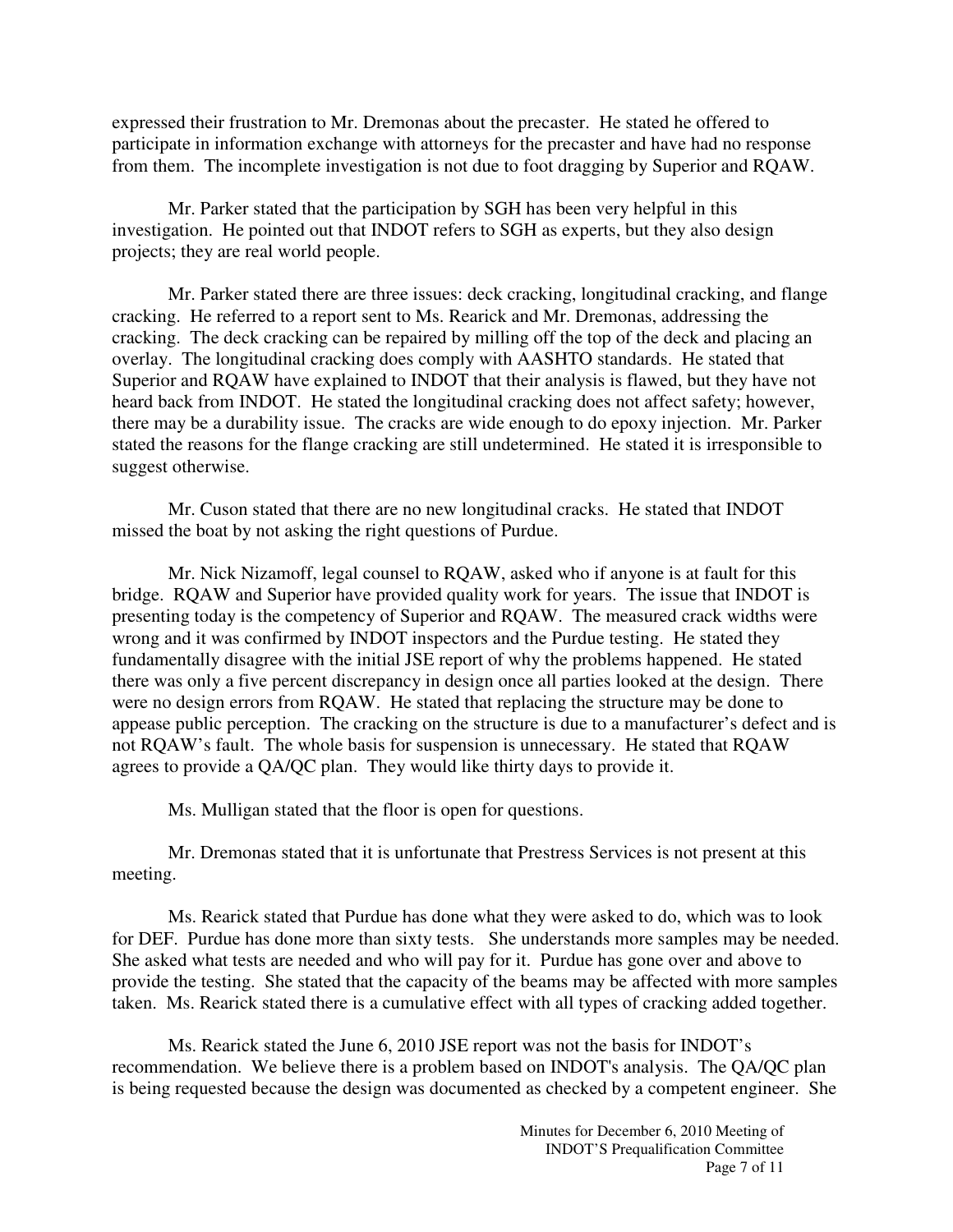expressed their frustration to Mr. Dremonas about the precaster. He stated he offered to participate in information exchange with attorneys for the precaster and have had no response from them. The incomplete investigation is not due to foot dragging by Superior and RQAW.

Mr. Parker stated that the participation by SGH has been very helpful in this investigation. He pointed out that INDOT refers to SGH as experts, but they also design projects; they are real world people.

 Mr. Parker stated there are three issues: deck cracking, longitudinal cracking, and flange cracking. He referred to a report sent to Ms. Rearick and Mr. Dremonas, addressing the cracking. The deck cracking can be repaired by milling off the top of the deck and placing an overlay. The longitudinal cracking does comply with AASHTO standards. He stated that Superior and RQAW have explained to INDOT that their analysis is flawed, but they have not heard back from INDOT. He stated the longitudinal cracking does not affect safety; however, there may be a durability issue. The cracks are wide enough to do epoxy injection. Mr. Parker stated the reasons for the flange cracking are still undetermined. He stated it is irresponsible to suggest otherwise.

Mr. Cuson stated that there are no new longitudinal cracks. He stated that INDOT missed the boat by not asking the right questions of Purdue.

Mr. Nick Nizamoff, legal counsel to RQAW, asked who if anyone is at fault for this bridge. RQAW and Superior have provided quality work for years. The issue that INDOT is presenting today is the competency of Superior and RQAW. The measured crack widths were wrong and it was confirmed by INDOT inspectors and the Purdue testing. He stated they fundamentally disagree with the initial JSE report of why the problems happened. He stated there was only a five percent discrepancy in design once all parties looked at the design. There were no design errors from RQAW. He stated that replacing the structure may be done to appease public perception. The cracking on the structure is due to a manufacturer's defect and is not RQAW's fault. The whole basis for suspension is unnecessary. He stated that RQAW agrees to provide a QA/QC plan. They would like thirty days to provide it.

Ms. Mulligan stated that the floor is open for questions.

Mr. Dremonas stated that it is unfortunate that Prestress Services is not present at this meeting.

Ms. Rearick stated that Purdue has done what they were asked to do, which was to look for DEF. Purdue has done more than sixty tests. She understands more samples may be needed. She asked what tests are needed and who will pay for it. Purdue has gone over and above to provide the testing. She stated that the capacity of the beams may be affected with more samples taken. Ms. Rearick stated there is a cumulative effect with all types of cracking added together.

Ms. Rearick stated the June 6, 2010 JSE report was not the basis for INDOT's recommendation. We believe there is a problem based on INDOT's analysis. The QA/QC plan is being requested because the design was documented as checked by a competent engineer. She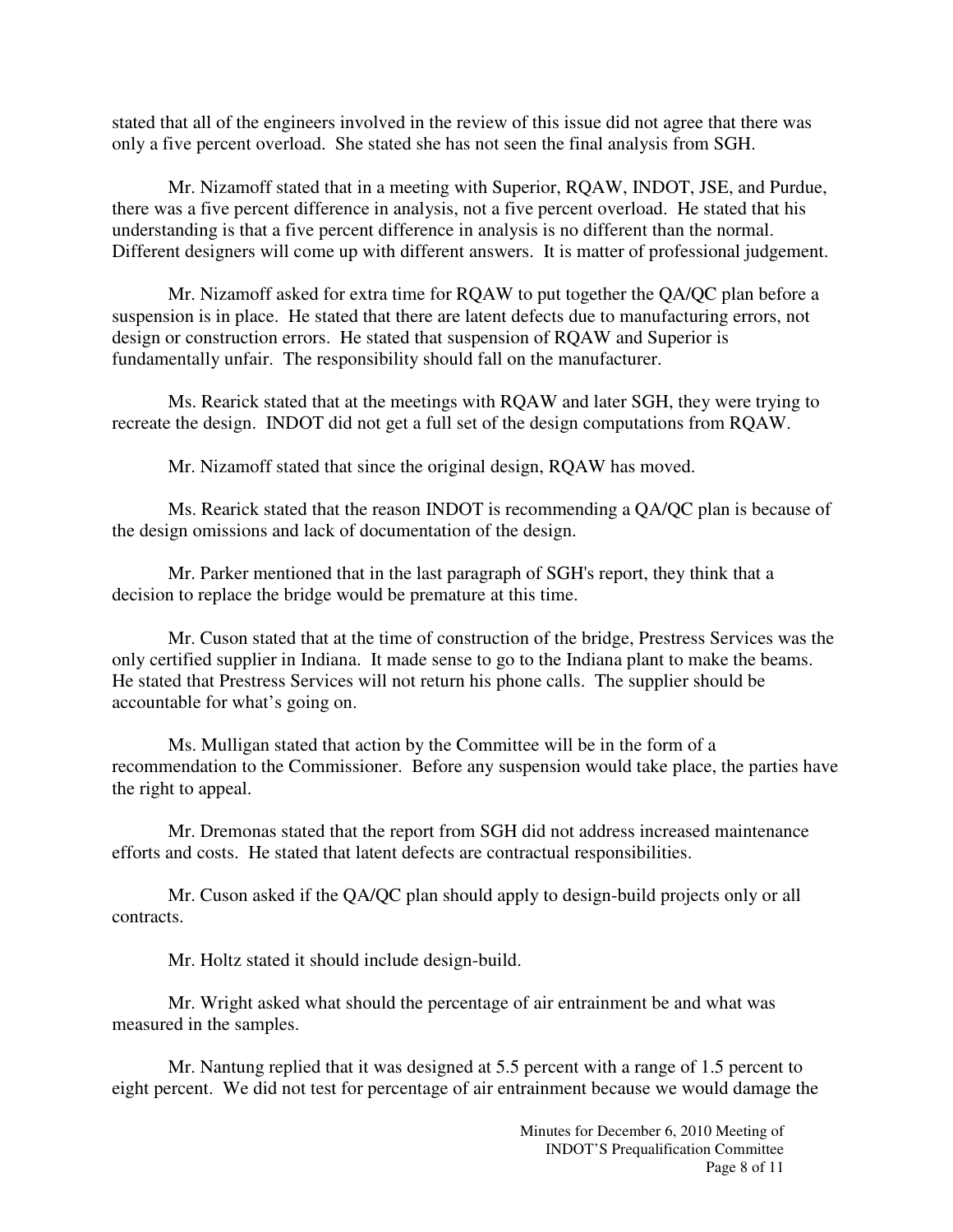stated that all of the engineers involved in the review of this issue did not agree that there was only a five percent overload. She stated she has not seen the final analysis from SGH.

 Mr. Nizamoff stated that in a meeting with Superior, RQAW, INDOT, JSE, and Purdue, there was a five percent difference in analysis, not a five percent overload. He stated that his understanding is that a five percent difference in analysis is no different than the normal. Different designers will come up with different answers. It is matter of professional judgement.

 Mr. Nizamoff asked for extra time for RQAW to put together the QA/QC plan before a suspension is in place. He stated that there are latent defects due to manufacturing errors, not design or construction errors. He stated that suspension of RQAW and Superior is fundamentally unfair. The responsibility should fall on the manufacturer.

 Ms. Rearick stated that at the meetings with RQAW and later SGH, they were trying to recreate the design. INDOT did not get a full set of the design computations from RQAW.

Mr. Nizamoff stated that since the original design, RQAW has moved.

 Ms. Rearick stated that the reason INDOT is recommending a QA/QC plan is because of the design omissions and lack of documentation of the design.

Mr. Parker mentioned that in the last paragraph of SGH's report, they think that a decision to replace the bridge would be premature at this time.

Mr. Cuson stated that at the time of construction of the bridge, Prestress Services was the only certified supplier in Indiana. It made sense to go to the Indiana plant to make the beams. He stated that Prestress Services will not return his phone calls. The supplier should be accountable for what's going on.

 Ms. Mulligan stated that action by the Committee will be in the form of a recommendation to the Commissioner. Before any suspension would take place, the parties have the right to appeal.

 Mr. Dremonas stated that the report from SGH did not address increased maintenance efforts and costs. He stated that latent defects are contractual responsibilities.

 Mr. Cuson asked if the QA/QC plan should apply to design-build projects only or all contracts.

Mr. Holtz stated it should include design-build.

 Mr. Wright asked what should the percentage of air entrainment be and what was measured in the samples.

 Mr. Nantung replied that it was designed at 5.5 percent with a range of 1.5 percent to eight percent. We did not test for percentage of air entrainment because we would damage the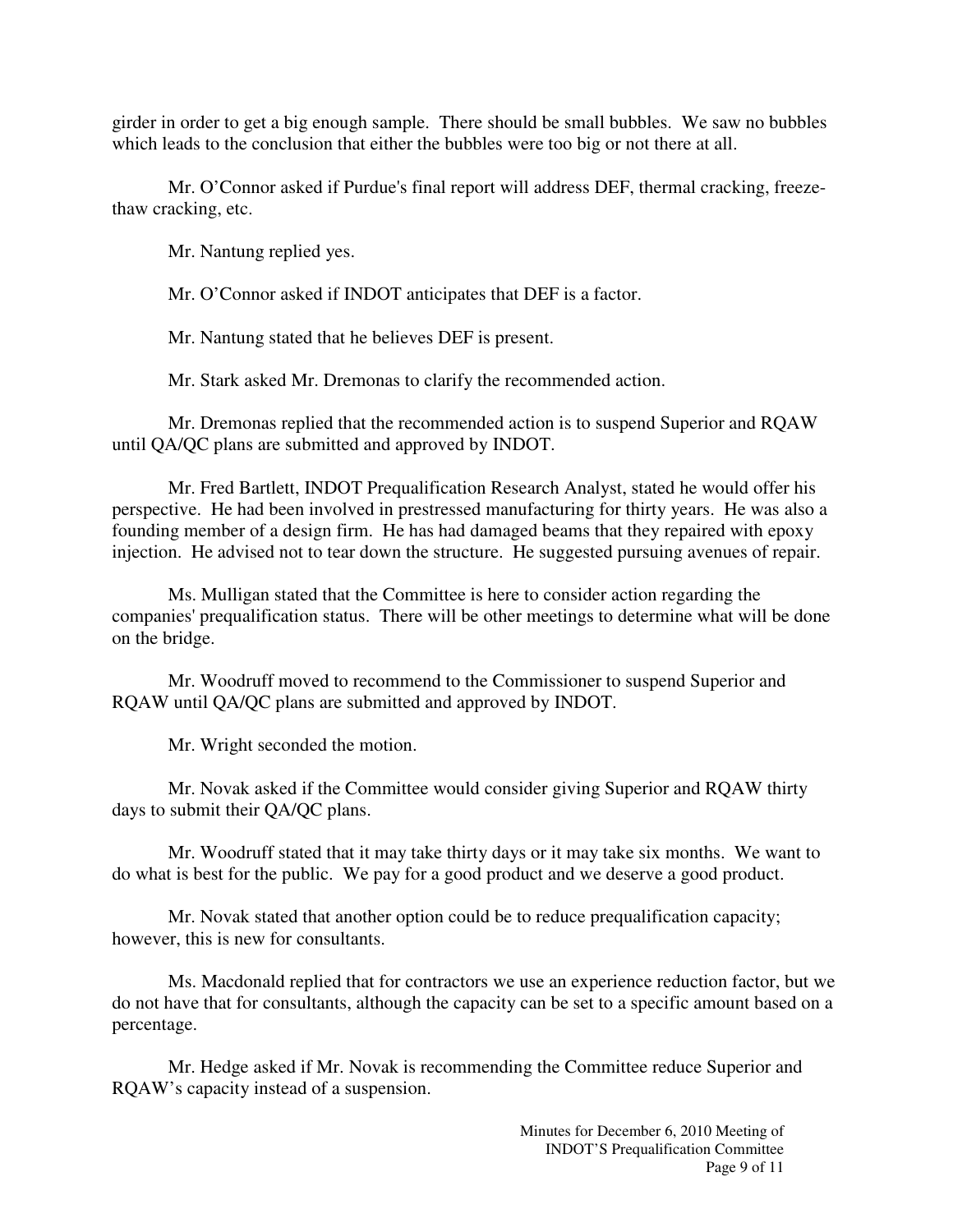girder in order to get a big enough sample. There should be small bubbles. We saw no bubbles which leads to the conclusion that either the bubbles were too big or not there at all.

Mr. O'Connor asked if Purdue's final report will address DEF, thermal cracking, freezethaw cracking, etc.

Mr. Nantung replied yes.

Mr. O'Connor asked if INDOT anticipates that DEF is a factor.

Mr. Nantung stated that he believes DEF is present.

Mr. Stark asked Mr. Dremonas to clarify the recommended action.

 Mr. Dremonas replied that the recommended action is to suspend Superior and RQAW until QA/QC plans are submitted and approved by INDOT.

Mr. Fred Bartlett, INDOT Prequalification Research Analyst, stated he would offer his perspective. He had been involved in prestressed manufacturing for thirty years. He was also a founding member of a design firm. He has had damaged beams that they repaired with epoxy injection. He advised not to tear down the structure. He suggested pursuing avenues of repair.

Ms. Mulligan stated that the Committee is here to consider action regarding the companies' prequalification status. There will be other meetings to determine what will be done on the bridge.

 Mr. Woodruff moved to recommend to the Commissioner to suspend Superior and RQAW until QA/QC plans are submitted and approved by INDOT.

Mr. Wright seconded the motion.

Mr. Novak asked if the Committee would consider giving Superior and RQAW thirty days to submit their QA/QC plans.

 Mr. Woodruff stated that it may take thirty days or it may take six months. We want to do what is best for the public. We pay for a good product and we deserve a good product.

Mr. Novak stated that another option could be to reduce prequalification capacity; however, this is new for consultants.

Ms. Macdonald replied that for contractors we use an experience reduction factor, but we do not have that for consultants, although the capacity can be set to a specific amount based on a percentage.

 Mr. Hedge asked if Mr. Novak is recommending the Committee reduce Superior and RQAW's capacity instead of a suspension.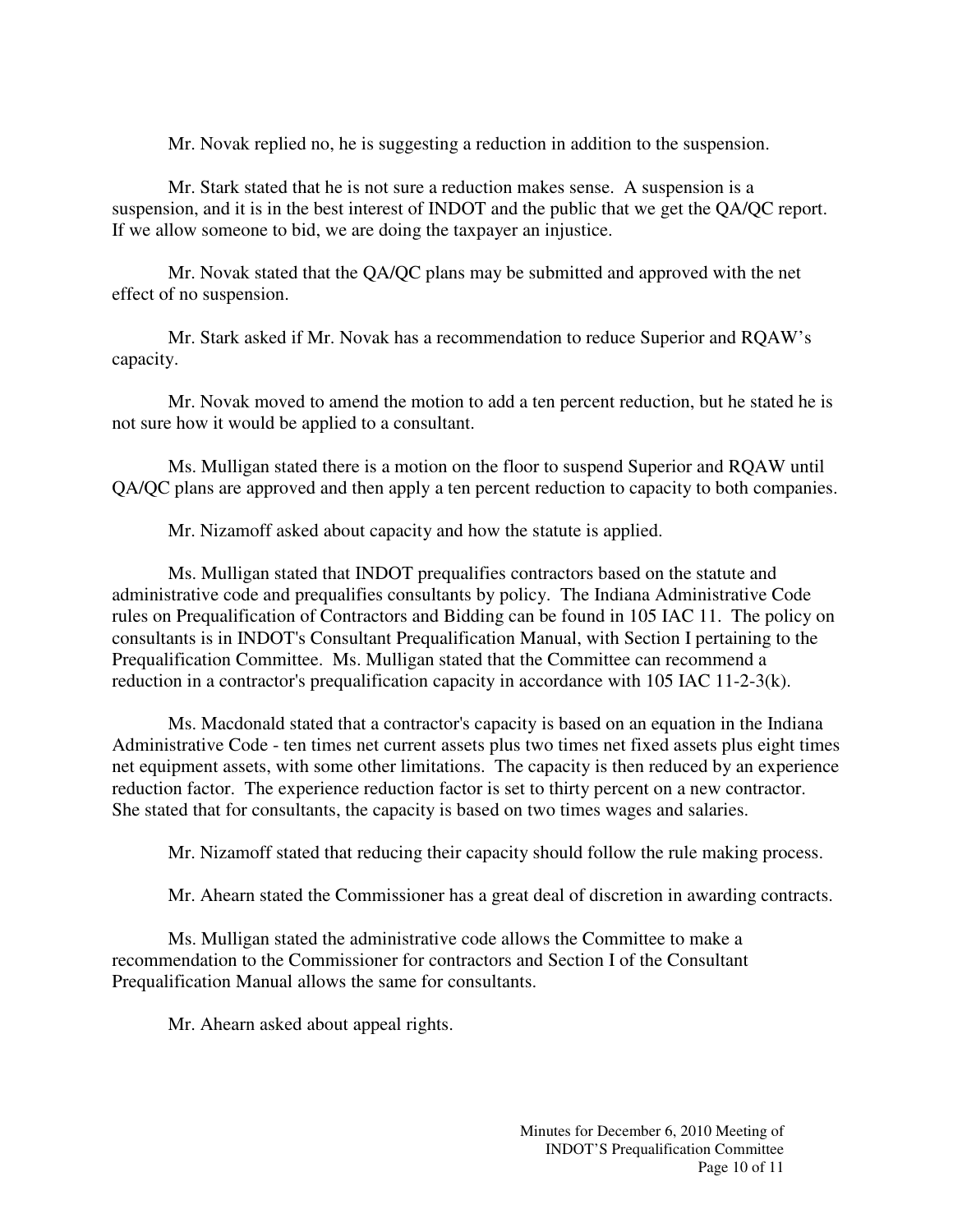Mr. Novak replied no, he is suggesting a reduction in addition to the suspension.

Mr. Stark stated that he is not sure a reduction makes sense. A suspension is a suspension, and it is in the best interest of INDOT and the public that we get the QA/QC report. If we allow someone to bid, we are doing the taxpayer an injustice.

 Mr. Novak stated that the QA/QC plans may be submitted and approved with the net effect of no suspension.

 Mr. Stark asked if Mr. Novak has a recommendation to reduce Superior and RQAW's capacity.

 Mr. Novak moved to amend the motion to add a ten percent reduction, but he stated he is not sure how it would be applied to a consultant.

 Ms. Mulligan stated there is a motion on the floor to suspend Superior and RQAW until QA/QC plans are approved and then apply a ten percent reduction to capacity to both companies.

Mr. Nizamoff asked about capacity and how the statute is applied.

Ms. Mulligan stated that INDOT prequalifies contractors based on the statute and administrative code and prequalifies consultants by policy. The Indiana Administrative Code rules on Prequalification of Contractors and Bidding can be found in 105 IAC 11. The policy on consultants is in INDOT's Consultant Prequalification Manual, with Section I pertaining to the Prequalification Committee. Ms. Mulligan stated that the Committee can recommend a reduction in a contractor's prequalification capacity in accordance with 105 IAC 11-2-3(k).

Ms. Macdonald stated that a contractor's capacity is based on an equation in the Indiana Administrative Code - ten times net current assets plus two times net fixed assets plus eight times net equipment assets, with some other limitations. The capacity is then reduced by an experience reduction factor. The experience reduction factor is set to thirty percent on a new contractor. She stated that for consultants, the capacity is based on two times wages and salaries.

Mr. Nizamoff stated that reducing their capacity should follow the rule making process.

Mr. Ahearn stated the Commissioner has a great deal of discretion in awarding contracts.

Ms. Mulligan stated the administrative code allows the Committee to make a recommendation to the Commissioner for contractors and Section I of the Consultant Prequalification Manual allows the same for consultants.

Mr. Ahearn asked about appeal rights.